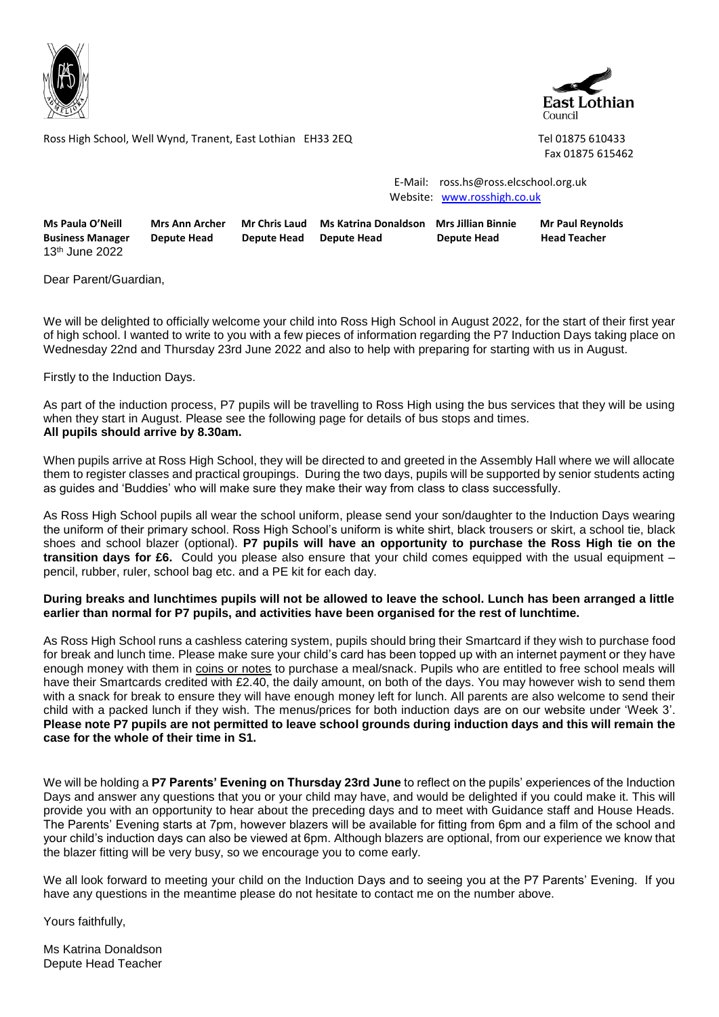



Ross High School, Well Wynd, Tranent, East Lothian EH33 2EQ Tel 01875 610433

Fax 01875 615462

 E-Mail: ross.hs@ross.elcschool.org.uk Website: [www.rosshigh.co.uk](http://www.rosshigh.co.uk/)

| Ms Paula O'Neill           | Mrs Ann Archer | Mr Chris Laud      | Ms Katrina Donaldson Mrs Jillian Binnie |             | <b>Mr Paul Reynolds</b> |
|----------------------------|----------------|--------------------|-----------------------------------------|-------------|-------------------------|
| <b>Business Manager</b>    | Depute Head    | <b>Depute Head</b> | Depute Head                             | Depute Head | <b>Head Teacher</b>     |
| 13 <sup>th</sup> June 2022 |                |                    |                                         |             |                         |

Dear Parent/Guardian,

We will be delighted to officially welcome your child into Ross High School in August 2022, for the start of their first year of high school. I wanted to write to you with a few pieces of information regarding the P7 Induction Days taking place on Wednesday 22nd and Thursday 23rd June 2022 and also to help with preparing for starting with us in August.

Firstly to the Induction Days.

As part of the induction process, P7 pupils will be travelling to Ross High using the bus services that they will be using when they start in August. Please see the following page for details of bus stops and times. **All pupils should arrive by 8.30am.**

When pupils arrive at Ross High School, they will be directed to and greeted in the Assembly Hall where we will allocate them to register classes and practical groupings. During the two days, pupils will be supported by senior students acting as guides and 'Buddies' who will make sure they make their way from class to class successfully.

As Ross High School pupils all wear the school uniform, please send your son/daughter to the Induction Days wearing the uniform of their primary school. Ross High School's uniform is white shirt, black trousers or skirt, a school tie, black shoes and school blazer (optional). **P7 pupils will have an opportunity to purchase the Ross High tie on the transition days for £6.** Could you please also ensure that your child comes equipped with the usual equipment – pencil, rubber, ruler, school bag etc. and a PE kit for each day.

## **During breaks and lunchtimes pupils will not be allowed to leave the school. Lunch has been arranged a little earlier than normal for P7 pupils, and activities have been organised for the rest of lunchtime.**

As Ross High School runs a cashless catering system, pupils should bring their Smartcard if they wish to purchase food for break and lunch time. Please make sure your child's card has been topped up with an internet payment or they have enough money with them in coins or notes to purchase a meal/snack. Pupils who are entitled to free school meals will have their Smartcards credited with £2.40, the daily amount, on both of the days. You may however wish to send them with a snack for break to ensure they will have enough money left for lunch. All parents are also welcome to send their child with a packed lunch if they wish. The menus/prices for both induction days are on our website under 'Week 3'. **Please note P7 pupils are not permitted to leave school grounds during induction days and this will remain the case for the whole of their time in S1.**

We will be holding a **P7 Parents' Evening on Thursday 23rd June** to reflect on the pupils' experiences of the Induction Days and answer any questions that you or your child may have, and would be delighted if you could make it. This will provide you with an opportunity to hear about the preceding days and to meet with Guidance staff and House Heads. The Parents' Evening starts at 7pm, however blazers will be available for fitting from 6pm and a film of the school and your child's induction days can also be viewed at 6pm. Although blazers are optional, from our experience we know that the blazer fitting will be very busy, so we encourage you to come early.

We all look forward to meeting your child on the Induction Days and to seeing you at the P7 Parents' Evening. If you have any questions in the meantime please do not hesitate to contact me on the number above.

Yours faithfully,

Ms Katrina Donaldson Depute Head Teacher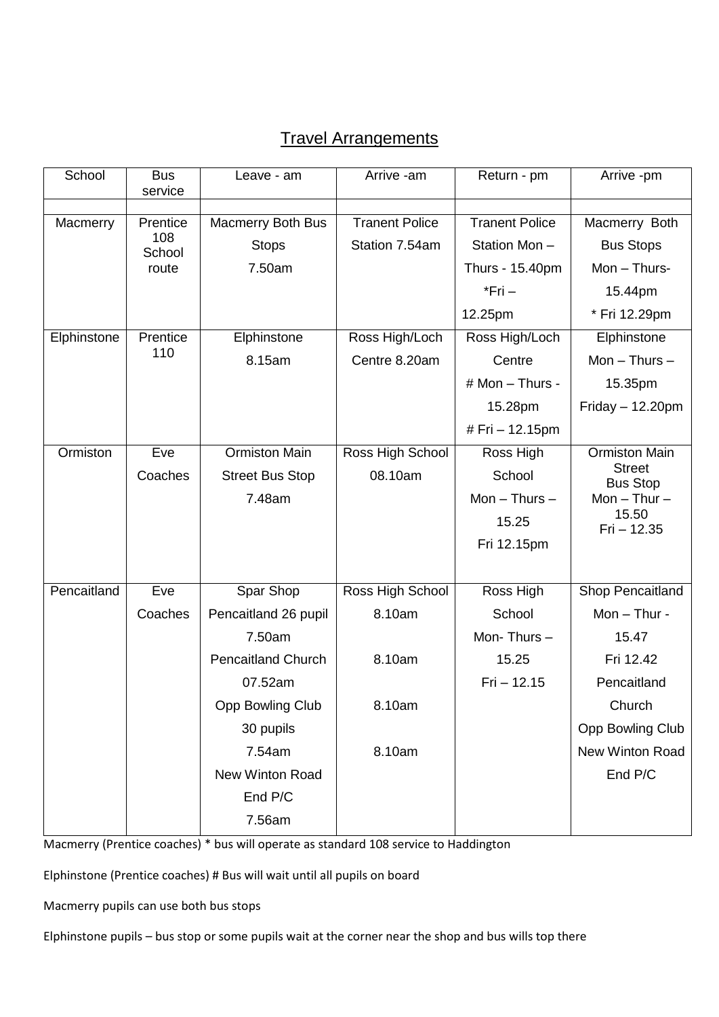## Travel Arrangements

| School      | <b>Bus</b><br>service              | Leave - am                                                                                                                                                                    | Arrive -am                                               | Return - pm                                                                        | Arrive -pm                                                                                                                          |
|-------------|------------------------------------|-------------------------------------------------------------------------------------------------------------------------------------------------------------------------------|----------------------------------------------------------|------------------------------------------------------------------------------------|-------------------------------------------------------------------------------------------------------------------------------------|
| Macmerry    | Prentice<br>108<br>School<br>route | <b>Macmerry Both Bus</b><br><b>Stops</b><br>7.50am                                                                                                                            | <b>Tranent Police</b><br>Station 7.54am                  | <b>Tranent Police</b><br>Station Mon-<br>Thurs - 15.40pm<br>$*$ Fri $-$<br>12.25pm | Macmerry Both<br><b>Bus Stops</b><br>Mon - Thurs-<br>15.44pm<br>* Fri 12.29pm                                                       |
| Elphinstone | Prentice<br>110                    | Elphinstone<br>8.15am                                                                                                                                                         | Ross High/Loch<br>Centre 8.20am                          | Ross High/Loch<br>Centre<br># Mon - Thurs -<br>15.28pm<br># Fri - 12.15pm          | Elphinstone<br>$Mon - Thus -$<br>15.35pm<br>$Friday - 12.20pm$                                                                      |
| Ormiston    | Eve<br>Coaches                     | <b>Ormiston Main</b><br><b>Street Bus Stop</b><br>7.48am                                                                                                                      | Ross High School<br>08.10am                              | Ross High<br>School<br>Mon $-$ Thurs $-$<br>15.25<br>Fri 12.15pm                   | <b>Ormiston Main</b><br><b>Street</b><br><b>Bus Stop</b><br>Mon $-$ Thur $-$<br>15.50<br>$Fi - 12.35$                               |
| Pencaitland | Eve<br>Coaches                     | Spar Shop<br>Pencaitland 26 pupil<br>7.50am<br><b>Pencaitland Church</b><br>07.52am<br><b>Opp Bowling Club</b><br>30 pupils<br>7.54am<br>New Winton Road<br>End P/C<br>7.56am | Ross High School<br>8.10am<br>8.10am<br>8.10am<br>8.10am | Ross High<br>School<br>Mon-Thurs-<br>15.25<br>$Fri - 12.15$                        | Shop Pencaitland<br>Mon $-$ Thur -<br>15.47<br>Fri 12.42<br>Pencaitland<br>Church<br>Opp Bowling Club<br>New Winton Road<br>End P/C |

Macmerry (Prentice coaches) \* bus will operate as standard 108 service to Haddington

Elphinstone (Prentice coaches) # Bus will wait until all pupils on board

Macmerry pupils can use both bus stops

Elphinstone pupils – bus stop or some pupils wait at the corner near the shop and bus wills top there